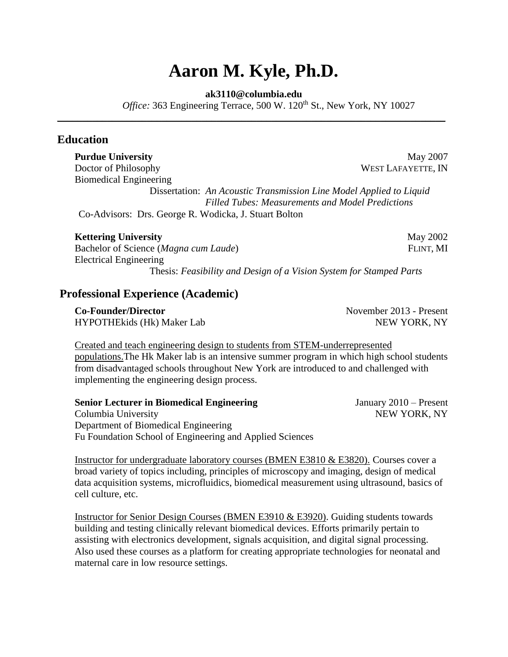# **Aaron M. Kyle, Ph.D.**

#### **ak3110@columbia.edu**

*\_\_\_\_\_\_\_\_\_\_\_\_\_\_\_\_\_\_\_\_\_\_\_\_\_\_\_\_\_\_\_\_\_\_\_\_\_\_\_\_\_\_\_\_\_\_\_\_\_\_\_\_\_\_\_\_\_\_\_\_\_\_\_\_\_\_\_\_\_\_\_\_\_\_\_\_\_\_*

*Office:* 363 Engineering Terrace, 500 W. 120<sup>th</sup> St., New York, NY 10027

## **Education**

Doctor of Philosophy WEST LAFAYETTE, IN Biomedical Engineering Dissertation: *An Acoustic Transmission Line Model Applied to Liquid Filled Tubes: Measurements and Model Predictions* Co-Advisors: Drs. George R. Wodicka, J. Stuart Bolton

#### **Kettering University** May 2002

Bachelor of Science (*Magna cum Laude*) FLINT, MI Electrical Engineering

Thesis: *Feasibility and Design of a Vision System for Stamped Parts*

# **Professional Experience (Academic)**

**Co-Founder/Director** November 2013 - Present HYPOTHEkids (Hk) Maker Lab NEW YORK, NY

Created and teach engineering design to students from STEM-underrepresented populations.The Hk Maker lab is an intensive summer program in which high school students from disadvantaged schools throughout New York are introduced to and challenged with implementing the engineering design process.

### **Senior Lecturer in Biomedical Engineering Figure 4.1 Senior 1.1 Senior Lecturer in Biomedical Engineering Figure 3.1 Senior 1.1 Senior 1.1 Senior 1.1 Senior 1.1 Senior 1.1 Senior 1.1 Senior 1.1 Senior 1.1 Senior 1.1 Senio** Columbia University **NEW YORK, NY** Department of Biomedical Engineering Fu Foundation School of Engineering and Applied Sciences

Instructor for undergraduate laboratory courses (BMEN E3810 & E3820). Courses cover a broad variety of topics including, principles of microscopy and imaging, design of medical data acquisition systems, microfluidics, biomedical measurement using ultrasound, basics of cell culture, etc.

Instructor for Senior Design Courses (BMEN E3910 & E3920). Guiding students towards building and testing clinically relevant biomedical devices. Efforts primarily pertain to assisting with electronics development, signals acquisition, and digital signal processing. Also used these courses as a platform for creating appropriate technologies for neonatal and maternal care in low resource settings.

**Purdue University** May 2007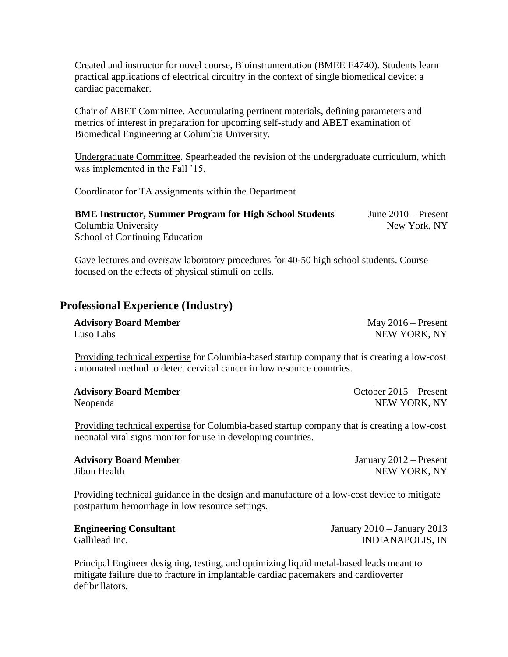Created and instructor for novel course, Bioinstrumentation (BMEE E4740). Students learn practical applications of electrical circuitry in the context of single biomedical device: a cardiac pacemaker.

Chair of ABET Committee. Accumulating pertinent materials, defining parameters and metrics of interest in preparation for upcoming self-study and ABET examination of Biomedical Engineering at Columbia University.

Undergraduate Committee. Spearheaded the revision of the undergraduate curriculum, which was implemented in the Fall '15.

Coordinator for TA assignments within the Department

| <b>BME Instructor, Summer Program for High School Students</b> | June $2010$ – Present |
|----------------------------------------------------------------|-----------------------|
| Columbia University                                            | New York, NY          |
| <b>School of Continuing Education</b>                          |                       |

Gave lectures and oversaw laboratory procedures for 40-50 high school students. Course focused on the effects of physical stimuli on cells.

# **Professional Experience (Industry)**

| <b>Advisory Board Member</b> | May $2016$ – Present |
|------------------------------|----------------------|
| Luso Labs                    | NEW YORK, NY         |

Providing technical expertise for Columbia-based startup company that is creating a low-cost automated method to detect cervical cancer in low resource countries.

| <b>Advisory Board Member</b> | October 2015 – Present |
|------------------------------|------------------------|
| Neopenda                     | NEW YORK, NY           |

Providing technical expertise for Columbia-based startup company that is creating a low-cost neonatal vital signs monitor for use in developing countries.

**Advisory Board Member** January 2012 – Present Jibon Health NEW YORK, NY

Providing technical guidance in the design and manufacture of a low-cost device to mitigate postpartum hemorrhage in low resource settings.

| <b>Engineering Consultant</b> | January $2010 -$ January 2013 |
|-------------------------------|-------------------------------|
| Gallilead Inc.                | <b>INDIANAPOLIS, IN</b>       |

Principal Engineer designing, testing, and optimizing liquid metal-based leads meant to mitigate failure due to fracture in implantable cardiac pacemakers and cardioverter defibrillators.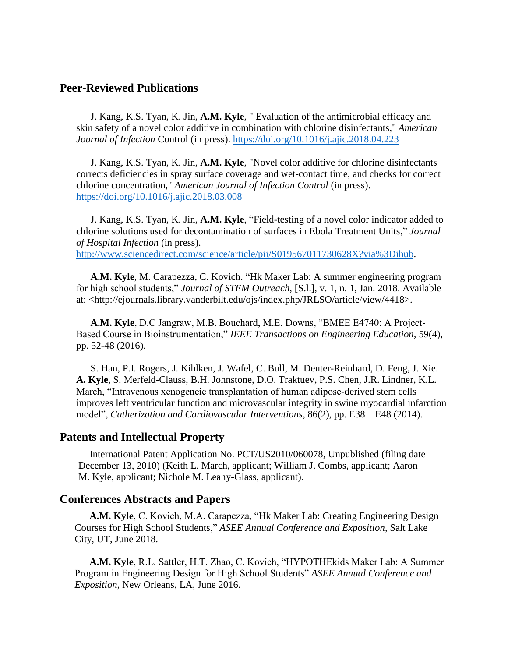# **Peer-Reviewed Publications**

J. Kang, K.S. Tyan, K. Jin, **A.M. Kyle**, " Evaluation of the antimicrobial efficacy and skin safety of a novel color additive in combination with chlorine disinfectants," *American Journal of Infection* Control (in press).<https://doi.org/10.1016/j.ajic.2018.04.223>

J. Kang, K.S. Tyan, K. Jin, **A.M. Kyle**, "Novel color additive for chlorine disinfectants corrects deficiencies in spray surface coverage and wet-contact time, and checks for correct chlorine concentration," *American Journal of Infection Control* (in press). <https://doi.org/10.1016/j.ajic.2018.03.008>

J. Kang, K.S. Tyan, K. Jin, **A.M. Kyle**, "Field-testing of a novel color indicator added to chlorine solutions used for decontamination of surfaces in Ebola Treatment Units," *Journal of Hospital Infection* (in press). [http://www.sciencedirect.com/science/article/pii/S019567011730628X?via%3Dihub.](http://www.sciencedirect.com/science/article/pii/S019567011730628X?via%3Dihub)

**A.M. Kyle**, M. Carapezza, C. Kovich. "Hk Maker Lab: A summer engineering program for high school students," *Journal of STEM Outreach*, [S.l.], v. 1, n. 1, Jan. 2018. Available at: <http://ejournals.library.vanderbilt.edu/ojs/index.php/JRLSO/article/view/4418>.

**A.M. Kyle**, D.C Jangraw, M.B. Bouchard, M.E. Downs, "BMEE E4740: A Project-Based Course in Bioinstrumentation," *IEEE Transactions on Engineering Education,* 59(4), pp. 52-48 (2016).

S. Han, P.I. Rogers, J. Kihlken, J. Wafel, C. Bull, M. Deuter-Reinhard, D. Feng, J. Xie. **A. Kyle**, S. Merfeld-Clauss, B.H. Johnstone, D.O. Traktuev, P.S. Chen, J.R. Lindner, K.L. March, "Intravenous xenogeneic transplantation of human adipose-derived stem cells improves left ventricular function and microvascular integrity in swine myocardial infarction model", *Catherization and Cardiovascular Interventions*, 86(2), pp. E38 – E48 (2014).

### **Patents and Intellectual Property**

International Patent Application No. PCT/US2010/060078, Unpublished (filing date December 13, 2010) (Keith L. March, applicant; William J. Combs, applicant; Aaron M. Kyle, applicant; Nichole M. Leahy-Glass, applicant).

#### **Conferences Abstracts and Papers**

**A.M. Kyle**, C. Kovich, M.A. Carapezza, "Hk Maker Lab: Creating Engineering Design Courses for High School Students," *ASEE Annual Conference and Exposition*, Salt Lake City, UT, June 2018.

**A.M. Kyle**, R.L. Sattler, H.T. Zhao, C. Kovich, "HYPOTHEkids Maker Lab: A Summer Program in Engineering Design for High School Students" *ASEE Annual Conference and Exposition*, New Orleans, LA, June 2016.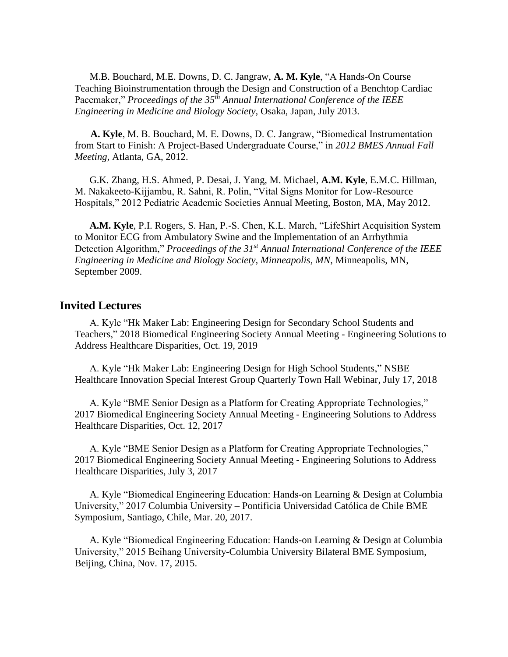M.B. Bouchard, M.E. Downs, D. C. Jangraw, **A. M. Kyle**, "A Hands-On Course Teaching Bioinstrumentation through the Design and Construction of a Benchtop Cardiac Pacemaker," *Proceedings of the 35th Annual International Conference of the IEEE Engineering in Medicine and Biology Society,* Osaka, Japan, July 2013.

**A. Kyle**, M. B. Bouchard, M. E. Downs, D. C. Jangraw, "Biomedical Instrumentation from Start to Finish: A Project-Based Undergraduate Course," in *2012 BMES Annual Fall Meeting,* Atlanta, GA, 2012.

G.K. Zhang, H.S. Ahmed, P. Desai, J. Yang, M. Michael, **A.M. Kyle**, E.M.C. Hillman, M. Nakakeeto-Kijjambu, R. Sahni, R. Polin, "Vital Signs Monitor for Low-Resource Hospitals," 2012 Pediatric Academic Societies Annual Meeting, Boston, MA, May 2012.

**A.M. Kyle**, P.I. Rogers, S. Han, P.-S. Chen, K.L. March, "LifeShirt Acquisition System to Monitor ECG from Ambulatory Swine and the Implementation of an Arrhythmia Detection Algorithm," *Proceedings of the 31st Annual International Conference of the IEEE Engineering in Medicine and Biology Society, Minneapolis, MN*, Minneapolis, MN, September 2009.

### **Invited Lectures**

A. Kyle "Hk Maker Lab: Engineering Design for Secondary School Students and Teachers," 2018 Biomedical Engineering Society Annual Meeting - Engineering Solutions to Address Healthcare Disparities, Oct. 19, 2019

A. Kyle "Hk Maker Lab: Engineering Design for High School Students," NSBE Healthcare Innovation Special Interest Group Quarterly Town Hall Webinar, July 17, 2018

A. Kyle "BME Senior Design as a Platform for Creating Appropriate Technologies," 2017 Biomedical Engineering Society Annual Meeting - Engineering Solutions to Address Healthcare Disparities, Oct. 12, 2017

A. Kyle "BME Senior Design as a Platform for Creating Appropriate Technologies," 2017 Biomedical Engineering Society Annual Meeting - Engineering Solutions to Address Healthcare Disparities, July 3, 2017

A. Kyle "Biomedical Engineering Education: Hands-on Learning & Design at Columbia University," 2017 Columbia University – Pontificia Universidad Católica de Chile BME Symposium, Santiago, Chile, Mar. 20, 2017.

A. Kyle "Biomedical Engineering Education: Hands-on Learning & Design at Columbia University," 2015 Beihang University-Columbia University Bilateral BME Symposium, Beijing, China, Nov. 17, 2015.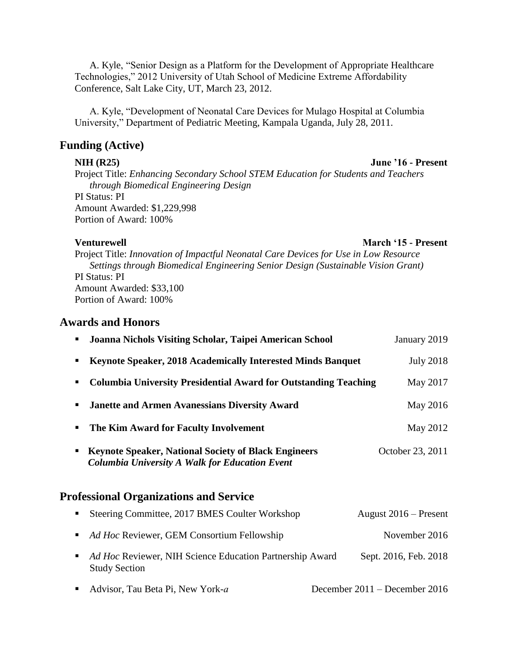A. Kyle, "Senior Design as a Platform for the Development of Appropriate Healthcare Technologies," 2012 University of Utah School of Medicine Extreme Affordability Conference, Salt Lake City, UT, March 23, 2012.

A. Kyle, "Development of Neonatal Care Devices for Mulago Hospital at Columbia University," Department of Pediatric Meeting, Kampala Uganda, July 28, 2011.

### **Funding (Active)**

Project Title: *Enhancing Secondary School STEM Education for Students and Teachers through Biomedical Engineering Design*

PI Status: PI Amount Awarded: \$1,229,998 Portion of Award: 100%

### **Venturewell March '15 - Present**

Project Title: *Innovation of Impactful Neonatal Care Devices for Use in Low Resource Settings through Biomedical Engineering Senior Design (Sustainable Vision Grant)* PI Status: PI Amount Awarded: \$33,100 Portion of Award: 100%

# **Awards and Honors**

|                  | " Joanna Nichols Visiting Scholar, Taipei American School                                                            | January 2019     |
|------------------|----------------------------------------------------------------------------------------------------------------------|------------------|
| $\blacksquare$   | Keynote Speaker, 2018 Academically Interested Minds Banquet                                                          | <b>July 2018</b> |
| $\blacksquare$   | <b>Columbia University Presidential Award for Outstanding Teaching</b>                                               | May 2017         |
| $\blacksquare$   | <b>Janette and Armen Avanessians Diversity Award</b>                                                                 | May 2016         |
| $\blacksquare$ . | The Kim Award for Faculty Involvement                                                                                | May 2012         |
| $\blacksquare$   | <b>Keynote Speaker, National Society of Black Engineers</b><br><b>Columbia University A Walk for Education Event</b> | October 23, 2011 |

# **Professional Organizations and Service**

| • Steering Committee, 2017 BMES Coulter Workshop                                   | August 2016 – Present |
|------------------------------------------------------------------------------------|-----------------------|
| • Ad Hoc Reviewer, GEM Consortium Fellowship                                       | November 2016         |
| • Ad Hoc Reviewer, NIH Science Education Partnership Award<br><b>Study Section</b> | Sept. 2016, Feb. 2018 |
|                                                                                    |                       |

**Advisor, Tau Beta Pi, New York-***a* December 2011 – December 2016

### **NIH (R25) June '16 - Present**